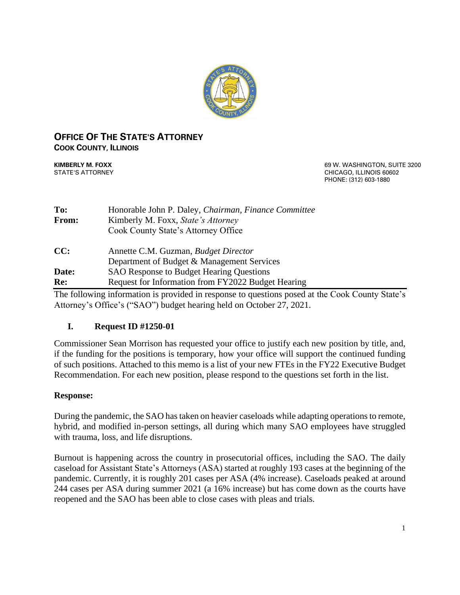

## **OFFICE OF THE STATE'S ATTORNEY COOK COUNTY, ILLINOIS**

**KIMBERLY M. FOXX EXECUTE: 1999 W. WASHINGTON, SUITE 3200** STATE'S ATTORNEY CHICAGO, ILLINOIS 60602 PHONE: (312) 603-1880

| To:   | Honorable John P. Daley, Chairman, Finance Committee |  |  |  |  |
|-------|------------------------------------------------------|--|--|--|--|
| From: | Kimberly M. Foxx, State's Attorney                   |  |  |  |  |
|       | Cook County State's Attorney Office                  |  |  |  |  |
| CC:   | Annette C.M. Guzman, <i>Budget Director</i>          |  |  |  |  |
|       | Department of Budget & Management Services           |  |  |  |  |
| Date: | <b>SAO Response to Budget Hearing Questions</b>      |  |  |  |  |
| Re:   | Request for Information from FY2022 Budget Hearing   |  |  |  |  |

The following information is provided in response to questions posed at the Cook County State's Attorney's Office's ("SAO") budget hearing held on October 27, 2021.

# **I. Request ID #1250-01**

Commissioner Sean Morrison has requested your office to justify each new position by title, and, if the funding for the positions is temporary, how your office will support the continued funding of such positions. Attached to this memo is a list of your new FTEs in the FY22 Executive Budget Recommendation. For each new position, please respond to the questions set forth in the list.

# **Response:**

During the pandemic, the SAO has taken on heavier caseloads while adapting operations to remote, hybrid, and modified in-person settings, all during which many SAO employees have struggled with trauma, loss, and life disruptions.

Burnout is happening across the country in prosecutorial offices, including the SAO. The daily caseload for Assistant State's Attorneys (ASA) started at roughly 193 cases at the beginning of the pandemic. Currently, it is roughly 201 cases per ASA (4% increase). Caseloads peaked at around 244 cases per ASA during summer 2021 (a 16% increase) but has come down as the courts have reopened and the SAO has been able to close cases with pleas and trials.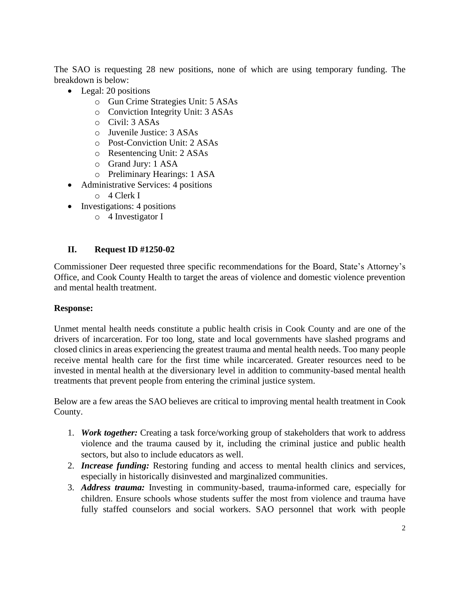The SAO is requesting 28 new positions, none of which are using temporary funding. The breakdown is below:

- Legal: 20 positions
	- o Gun Crime Strategies Unit: 5 ASAs
	- o Conviction Integrity Unit: 3 ASAs
	- o Civil: 3 ASAs
	- o Juvenile Justice: 3 ASAs
	- o Post-Conviction Unit: 2 ASAs
	- o Resentencing Unit: 2 ASAs
	- o Grand Jury: 1 ASA
	- o Preliminary Hearings: 1 ASA
- Administrative Services: 4 positions
	- o 4 Clerk I
- Investigations: 4 positions
	- o 4 Investigator I

# **II. Request ID #1250-02**

Commissioner Deer requested three specific recommendations for the Board, State's Attorney's Office, and Cook County Health to target the areas of violence and domestic violence prevention and mental health treatment.

# **Response:**

Unmet mental health needs constitute a public health crisis in Cook County and are one of the drivers of incarceration. For too long, state and local governments have slashed programs and closed clinics in areas experiencing the greatest trauma and mental health needs. Too many people receive mental health care for the first time while incarcerated. Greater resources need to be invested in mental health at the diversionary level in addition to community-based mental health treatments that prevent people from entering the criminal justice system.

Below are a few areas the SAO believes are critical to improving mental health treatment in Cook County.

- 1. *Work together:* Creating a task force/working group of stakeholders that work to address violence and the trauma caused by it, including the criminal justice and public health sectors, but also to include educators as well.
- 2. *Increase funding:* Restoring funding and access to mental health clinics and services, especially in historically disinvested and marginalized communities.
- 3. *Address trauma:* Investing in community-based, trauma-informed care, especially for children. Ensure schools whose students suffer the most from violence and trauma have fully staffed counselors and social workers. SAO personnel that work with people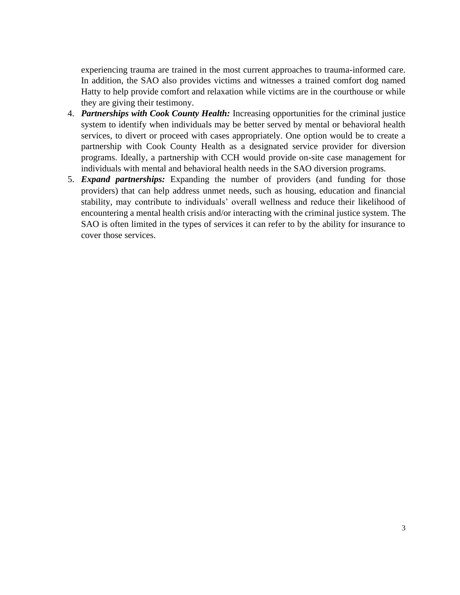experiencing trauma are trained in the most current approaches to trauma-informed care. In addition, the SAO also provides victims and witnesses a trained comfort dog named Hatty to help provide comfort and relaxation while victims are in the courthouse or while they are giving their testimony.

- 4. *Partnerships with Cook County Health:* Increasing opportunities for the criminal justice system to identify when individuals may be better served by mental or behavioral health services, to divert or proceed with cases appropriately. One option would be to create a partnership with Cook County Health as a designated service provider for diversion programs. Ideally, a partnership with CCH would provide on-site case management for individuals with mental and behavioral health needs in the SAO diversion programs.
- 5. *Expand partnerships:* Expanding the number of providers (and funding for those providers) that can help address unmet needs, such as housing, education and financial stability, may contribute to individuals' overall wellness and reduce their likelihood of encountering a mental health crisis and/or interacting with the criminal justice system. The SAO is often limited in the types of services it can refer to by the ability for insurance to cover those services.